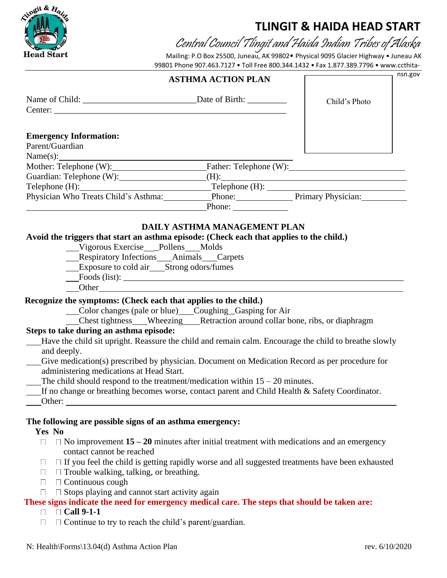

## **TLINGIT & HAIDA HEAD START**

Central Council Tlingit and Haida Indian Tribes of Alaska

Mailing: P.O Box 25500, Juneau, AK 99802• Physical 9095 Glacier Highway • Juneau AK 99801 Phone 907.463.7127 • Toll Free 800.344.1432 • Fax 1.877.389.7796 • [www.ccthita-](http://www.ccthita-nsn.gov/)

|                                                                                                           | <b>ASTHMA ACTION PLAN</b>                                                                                                                                                                                                                                                                                                                              | nsn.gov       |
|-----------------------------------------------------------------------------------------------------------|--------------------------------------------------------------------------------------------------------------------------------------------------------------------------------------------------------------------------------------------------------------------------------------------------------------------------------------------------------|---------------|
|                                                                                                           | Center: 2008 - 2008 - 2008 - 2008 - 2008 - 2008 - 2008 - 2008 - 2008 - 2008 - 2008 - 2008 - 2008 - 2008 - 2008                                                                                                                                                                                                                                         | Child's Photo |
| <b>Emergency Information:</b><br>Parent/Guardian                                                          |                                                                                                                                                                                                                                                                                                                                                        |               |
|                                                                                                           |                                                                                                                                                                                                                                                                                                                                                        |               |
|                                                                                                           | Mother: Telephone (W): Father: Telephone (W):                                                                                                                                                                                                                                                                                                          |               |
|                                                                                                           |                                                                                                                                                                                                                                                                                                                                                        |               |
|                                                                                                           | Telephone (H):<br>Telephone (H): Telephone (H): Telephone (H): Physician: Physician:                                                                                                                                                                                                                                                                   |               |
|                                                                                                           |                                                                                                                                                                                                                                                                                                                                                        |               |
|                                                                                                           | Phone: $\frac{1}{\sqrt{1-\frac{1}{2}} \cdot \frac{1}{2}}$                                                                                                                                                                                                                                                                                              |               |
|                                                                                                           |                                                                                                                                                                                                                                                                                                                                                        |               |
|                                                                                                           | DAILY ASTHMA MANAGEMENT PLAN                                                                                                                                                                                                                                                                                                                           |               |
|                                                                                                           | Avoid the triggers that start an asthma episode: (Check each that applies to the child.)<br>Vigorous Exercise Pollens Molds                                                                                                                                                                                                                            |               |
|                                                                                                           | __Respiratory Infections___Animals___Carpets                                                                                                                                                                                                                                                                                                           |               |
|                                                                                                           | Exposure to cold air___Strong odors/fumes                                                                                                                                                                                                                                                                                                              |               |
|                                                                                                           |                                                                                                                                                                                                                                                                                                                                                        |               |
|                                                                                                           | Other contracts are all the contracts of the contracts of the contracts of the contracts of the contracts of the contracts of the contracts of the contracts of the contracts of the contracts of the contracts of the contrac                                                                                                                         |               |
| Steps to take during an asthma episode:<br>and deeply.<br>administering medications at Head Start.        | __Color changes (pale or blue)___Coughing_Gasping for Air<br>Chest tightness___Wheezing___Retraction around collar bone, ribs, or diaphragm<br>Have the child sit upright. Reassure the child and remain calm. Encourage the child to breathe slowly<br>Give medication(s) prescribed by physician. Document on Medication Record as per procedure for |               |
| Other: $\overline{\phantom{a}}$                                                                           | The child should respond to the treatment/medication within $15 - 20$ minutes.<br>If no change or breathing becomes worse, contact parent and Child Health & Safety Coordinator.                                                                                                                                                                       |               |
| Yes No<br>$\Box$                                                                                          | The following are possible signs of an asthma emergency:                                                                                                                                                                                                                                                                                               |               |
| contact cannot be reached                                                                                 | $\Box$ No improvement 15 – 20 minutes after initial treatment with medications and an emergency                                                                                                                                                                                                                                                        |               |
| $\perp$<br>$\Box$ Trouble walking, talking, or breathing.<br>$\Box$<br>$\Box$ Continuous cough<br>$\perp$ | $\Box$ If you feel the child is getting rapidly worse and all suggested treatments have been exhausted                                                                                                                                                                                                                                                 |               |
| П                                                                                                         | $\Box$ Stops playing and cannot start activity again                                                                                                                                                                                                                                                                                                   |               |
|                                                                                                           | These signs indicate the need for emergency medical care. The steps that should be taken are:                                                                                                                                                                                                                                                          |               |
| $\Box$ Call 9-1-1<br>$\Box$                                                                               |                                                                                                                                                                                                                                                                                                                                                        |               |
|                                                                                                           | $\Box$ Continue to try to reach the child's parent/guardian.                                                                                                                                                                                                                                                                                           |               |